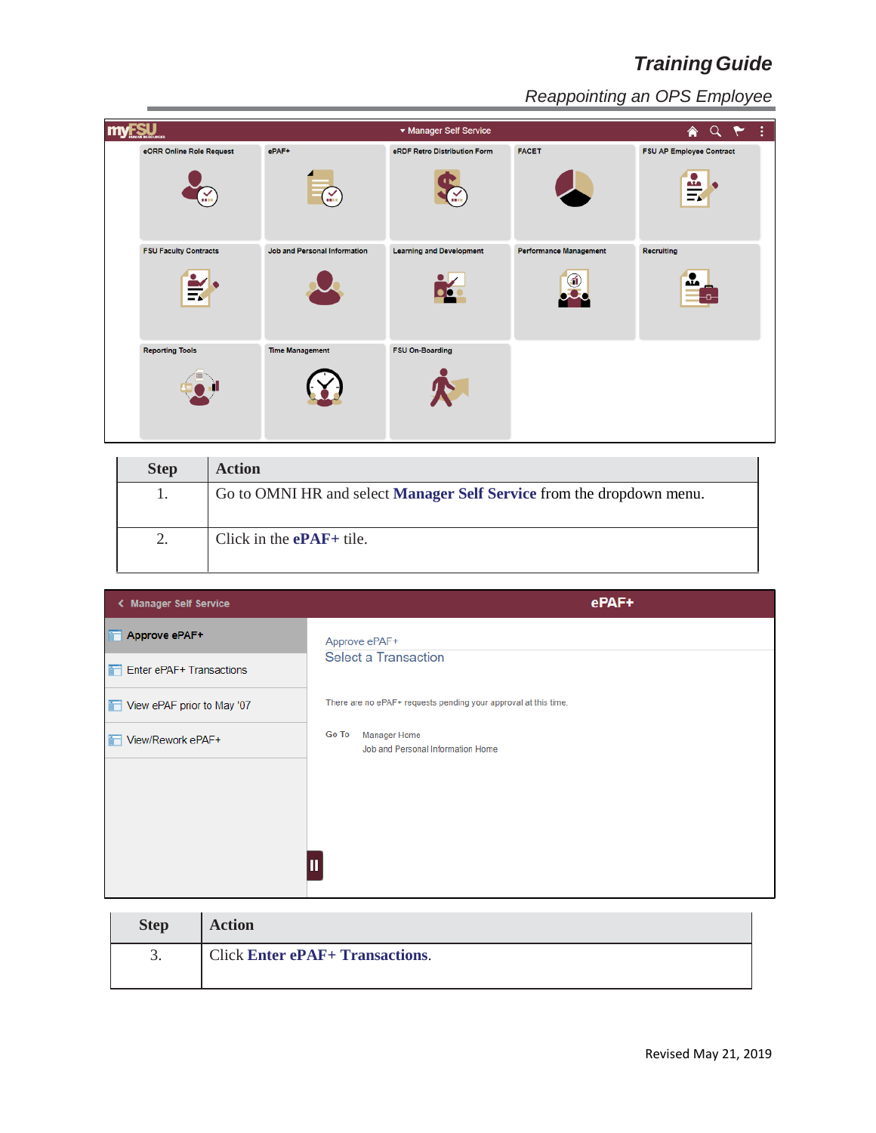| <b>myFSU</b>                                            |                              | ▼ Manager Self Service          |                               | $\overline{\mathbf{A}}$ Q $\mathbf{Y}$ : |
|---------------------------------------------------------|------------------------------|---------------------------------|-------------------------------|------------------------------------------|
| eORR Online Role Request                                | ePAF+                        | eRDF Retro Distribution Form    | <b>FACET</b>                  | <b>FSU AP Employee Contract</b>          |
| ¥                                                       | $\mathbb{Y}$                 |                                 |                               | $\frac{\omega}{\Xi}$                     |
| <b>FSU Faculty Contracts</b><br>$\overline{\mathbf{z}}$ | Job and Personal Information | <b>Learning and Development</b> | <b>Performance Management</b> | <b>Recruiting</b><br>$\mathbf{r}$        |
| <b>Reporting Tools</b>                                  | <b>Time Management</b>       | FSU On-Boarding                 |                               |                                          |

| <b>Step</b> | <b>Action</b>                                                                |
|-------------|------------------------------------------------------------------------------|
|             | Go to OMNI HR and select <b>Manager Self Service</b> from the dropdown menu. |
| 2.          | Click in the $ePAF+$ tile.                                                   |

| <b>Manager Self Service</b> | ePAF+                                                             |
|-----------------------------|-------------------------------------------------------------------|
| Approve ePAF+               | Approve ePAF+                                                     |
| Enter ePAF+ Transactions    | <b>Select a Transaction</b>                                       |
| View ePAF prior to May '07  | There are no ePAF+ requests pending your approval at this time.   |
| View/Rework ePAF+           | Go To<br><b>Manager Home</b><br>Job and Personal Information Home |
|                             |                                                                   |
|                             |                                                                   |
|                             |                                                                   |

| <b>Step</b> | <b>Action</b>                                                                     |
|-------------|-----------------------------------------------------------------------------------|
|             | Click Enter ePAF+ Transactions. Select the type of transaction from the drop down |
|             | menu.                                                                             |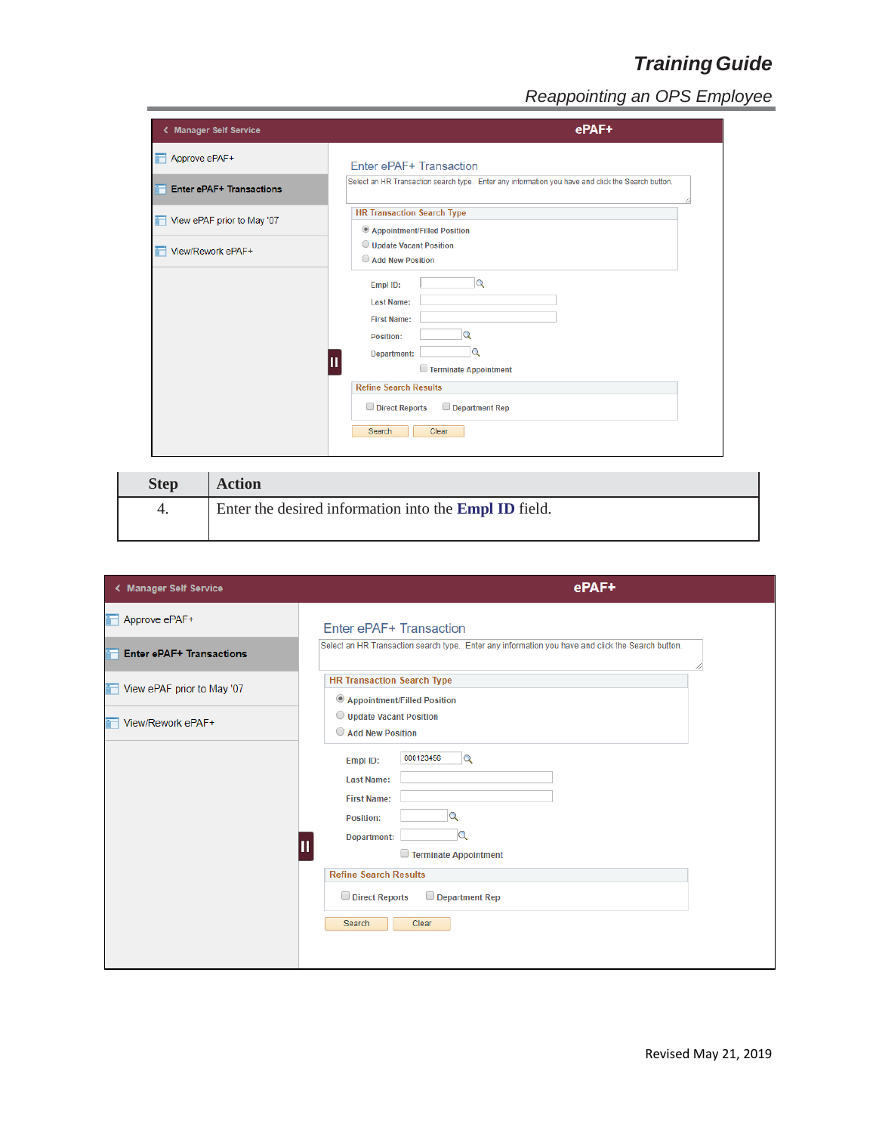| < Manager Self Service          |                                                                                                                                                                                                            | ePAF+ |
|---------------------------------|------------------------------------------------------------------------------------------------------------------------------------------------------------------------------------------------------------|-------|
| Approve ePAF+                   | Enter ePAF+ Transaction                                                                                                                                                                                    |       |
| <b>Enter ePAF+ Transactions</b> | Select an HR Transaction search type. Enter any information you have and click the Search button.                                                                                                          |       |
| View ePAF prior to May '07      | <b>HR Transaction Search Type</b><br>$\mathbf{v}$<br>Type:                                                                                                                                                 |       |
| <b>T</b> View/Rework ePAF+      | <b>Add New Position</b><br>Appointment/Filled Position<br>Empl ID:<br><b>Courtesy Appointments</b><br><b>Last Name:</b><br><b>Update Vacant Position</b><br><b>First Name:</b><br>Position:<br>Department: |       |
|                                 | <b>Refine Search Results</b><br>Department Rep<br>Direct Reports<br>Search<br>Clear                                                                                                                        |       |
| <b>Action</b><br><b>Step</b>    |                                                                                                                                                                                                            |       |

| ~~~~ | . <i>. .</i>                                                 |
|------|--------------------------------------------------------------|
|      | Enter the desired information into the <b>Empl ID</b> field. |
|      |                                                              |
|      |                                                              |

| Approve ePAF+<br>Enter ePAF+ Transaction<br>Select an HR Transaction search type. Enter any information you have and click the Search button.<br><b>Enter ePAF+ Transactions</b><br><b>HR Transaction Search Type</b><br>View ePAF prior to May '07<br>Appointment/Filled Position<br>$\overline{\mathbf{v}}$<br>Type:<br>View/Rework ePAF+<br>000123456<br>$\mathbf Q$<br>Empl ID:<br><b>Last Name:</b><br><b>First Name:</b><br>Position:<br>Department:<br>Terminate Appointment<br><b>Refine Search Results</b><br>Direct Reports<br>Department Rep | < Manager Self Service |                 | ePAF+ |
|---------------------------------------------------------------------------------------------------------------------------------------------------------------------------------------------------------------------------------------------------------------------------------------------------------------------------------------------------------------------------------------------------------------------------------------------------------------------------------------------------------------------------------------------------------|------------------------|-----------------|-------|
|                                                                                                                                                                                                                                                                                                                                                                                                                                                                                                                                                         |                        |                 |       |
|                                                                                                                                                                                                                                                                                                                                                                                                                                                                                                                                                         |                        |                 |       |
|                                                                                                                                                                                                                                                                                                                                                                                                                                                                                                                                                         |                        |                 |       |
|                                                                                                                                                                                                                                                                                                                                                                                                                                                                                                                                                         |                        | Clear<br>Search |       |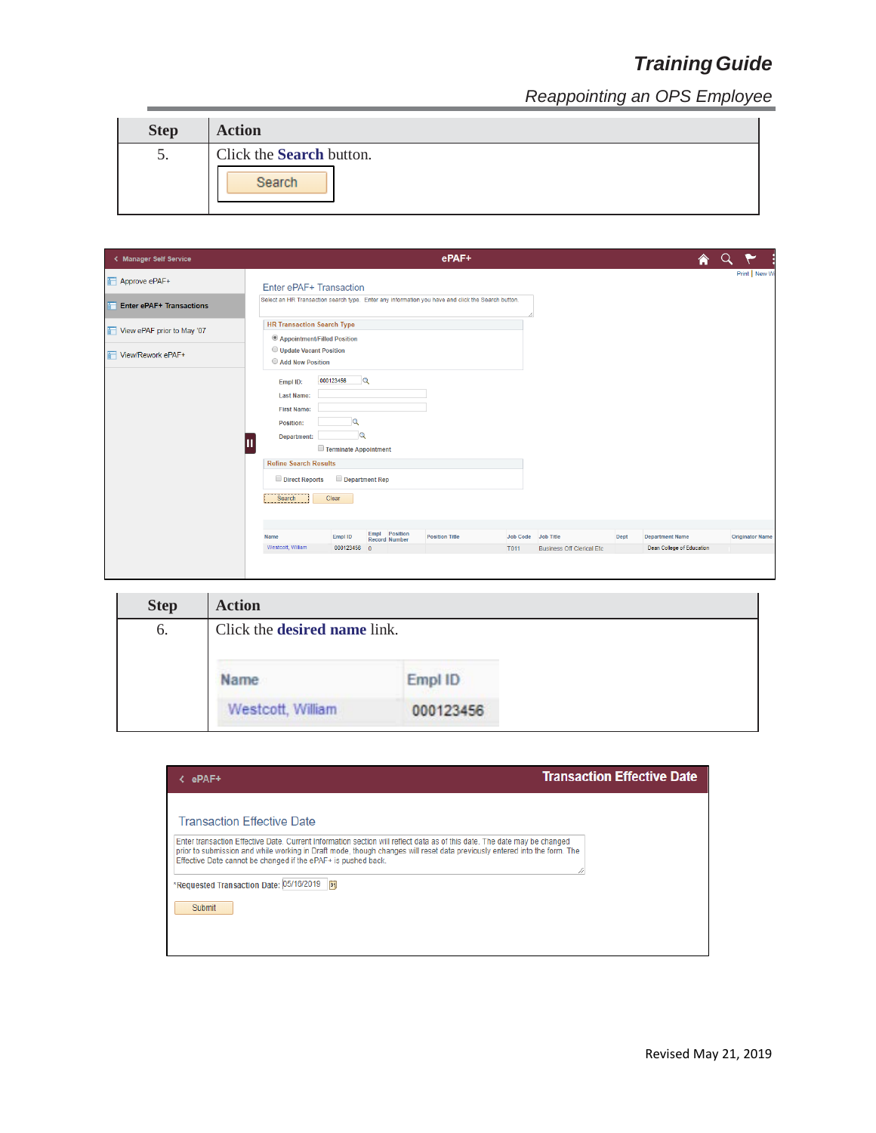| <b>Step</b> | <b>Action</b>                             |
|-------------|-------------------------------------------|
| C.          | Click the <b>Search</b> button.<br>Search |

| < Manager Self Service          | ePAF+                                                                                                       | ♠                         |                        |
|---------------------------------|-------------------------------------------------------------------------------------------------------------|---------------------------|------------------------|
| Approve ePAF+                   | Enter ePAF+ Transaction                                                                                     |                           | Print   New W          |
| <b>Enter ePAF+ Transactions</b> | Select an HR Transaction search type. Enter any information you have and click the Search button.           |                           |                        |
| View ePAF prior to May '07      | <b>HR Transaction Search Type</b>                                                                           |                           |                        |
| View/Rework ePAF+               | Appointment/Filled Position<br>ν.<br>Type:                                                                  |                           |                        |
|                                 | 000123456<br>$\alpha$<br>Empl ID:                                                                           |                           |                        |
|                                 | Last Name:                                                                                                  |                           |                        |
|                                 | <b>First Name:</b>                                                                                          |                           |                        |
|                                 | Position:                                                                                                   |                           |                        |
|                                 | $\alpha$<br>Department:                                                                                     |                           |                        |
|                                 | Terminate Appointment                                                                                       |                           |                        |
|                                 | <b>Refine Search Results</b>                                                                                |                           |                        |
|                                 | Department Rep<br>Direct Reports                                                                            |                           |                        |
|                                 | Clear<br>Search                                                                                             |                           |                        |
|                                 |                                                                                                             |                           |                        |
|                                 | Empl Position<br><b>Position Title</b><br>Job Title<br>Dept<br>Empl ID<br>Job Code<br>Name<br>Record Number | <b>Department Name</b>    | <b>Originator Name</b> |
|                                 | Westcott, William<br>000123456 0<br>T011<br>Business Off Clerical Etc                                       | Dean College of Education |                        |
|                                 |                                                                                                             |                           |                        |

| <b>Step</b> | <b>Action</b>                       |           |
|-------------|-------------------------------------|-----------|
| 6.          | Click the <b>desired name</b> link. |           |
|             | Name                                | Empl ID   |
|             | Westcott, William                   | 000123456 |

| ePAF+                                                                                                                                                                                                                                                                                                                                                                                               | <b>Transaction Effective Date</b> |
|-----------------------------------------------------------------------------------------------------------------------------------------------------------------------------------------------------------------------------------------------------------------------------------------------------------------------------------------------------------------------------------------------------|-----------------------------------|
| Transaction Effective Date<br>Enter transaction Effective Date. Current Information section will reflect data as of this date. The date may be changed<br>prior to submission and while working in Draft mode, though changes will reset data previously entered into the form. The<br>Effective Date cannot be changed if the ePAF+ is pushed back.<br>*Requested Transaction Date: 05/16/2019  51 |                                   |
| Submit                                                                                                                                                                                                                                                                                                                                                                                              |                                   |
|                                                                                                                                                                                                                                                                                                                                                                                                     |                                   |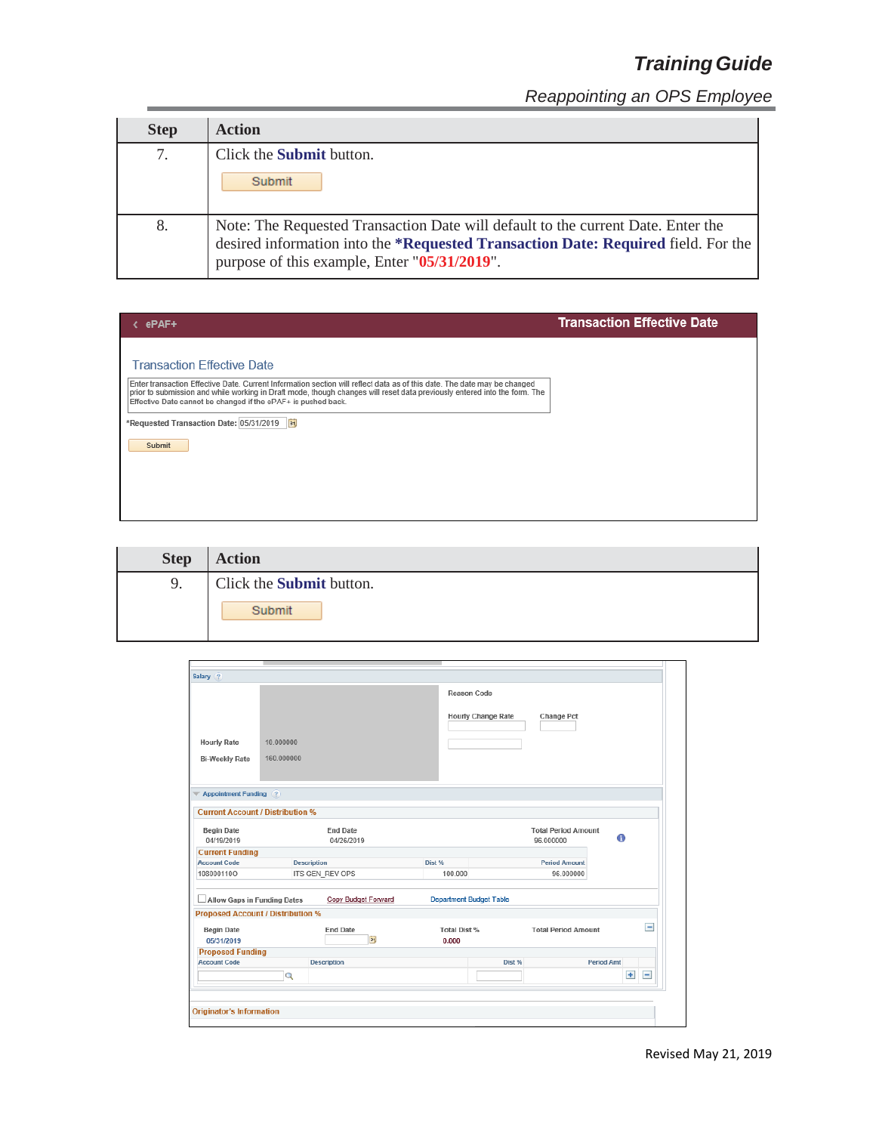| <b>Step</b> | <b>Action</b>                                                                                                                                                                                                      |
|-------------|--------------------------------------------------------------------------------------------------------------------------------------------------------------------------------------------------------------------|
| 7.          | Click the <b>Submit</b> button.                                                                                                                                                                                    |
|             | Submit                                                                                                                                                                                                             |
| 8.          | Note: The Requested Transaction Date will default to the current Date. Enter the desired information into the *Requested Transaction Date: Required field. For the<br>purpose of this example, Enter "05/31/2019". |

| ePAF+                                                                                                                                                                                                                                                                                                                                                                                                            | <b>Transaction Effective Date</b> |
|------------------------------------------------------------------------------------------------------------------------------------------------------------------------------------------------------------------------------------------------------------------------------------------------------------------------------------------------------------------------------------------------------------------|-----------------------------------|
| <b>Transaction Effective Date</b><br>Enter transaction Effective Date. Current Information section will reflect data as of this date. The date may be changed<br>prior to submission and while working in Draft mode, though changes will reset data previously entered into the form. The<br>Effective Date cannot be changed if the ePAF+ is pushed back.<br>*Requested Transaction Date: 05/31/2019<br>Submit |                                   |

| <b>Step</b> | <b>Action</b>                   |
|-------------|---------------------------------|
| 9.          | Click the <b>Submit</b> button. |
|             | Submit                          |

| Salary (?)                                                 |                    |                               |                     |                                |                                         |                   |                          |
|------------------------------------------------------------|--------------------|-------------------------------|---------------------|--------------------------------|-----------------------------------------|-------------------|--------------------------|
|                                                            |                    |                               |                     | Reason Code                    |                                         |                   |                          |
|                                                            |                    |                               |                     | <b>Hourly Change Rate</b>      | Change Pct                              |                   |                          |
| <b>Hourly Rate</b>                                         | 10.000000          |                               |                     |                                |                                         |                   |                          |
|                                                            |                    |                               |                     |                                |                                         |                   |                          |
| <b>Bi-Weekly Rate</b>                                      | 160.000000         |                               |                     |                                |                                         |                   |                          |
| <b>Appointment Funding</b> (?)<br>$\overline{\phantom{a}}$ |                    |                               |                     |                                |                                         |                   |                          |
| <b>Current Account / Distribution %</b>                    |                    |                               |                     |                                |                                         |                   |                          |
| <b>Begin Date</b><br>04/19/2019                            |                    | <b>End Date</b><br>04/26/2019 |                     |                                | <b>Total Period Amount</b><br>96 000000 | 6                 |                          |
| <b>Current Funding</b>                                     |                    |                               |                     |                                |                                         |                   |                          |
| <b>Account Code</b>                                        | <b>Description</b> |                               | Dist %              |                                | <b>Period Amount</b>                    |                   |                          |
| 108000110O                                                 |                    | ITS GEN REV OPS               | 100.000             |                                | 96.000000                               |                   |                          |
| Allow Gaps in Funding Dates                                |                    | Copy Budget Forward           |                     | <b>Department Budget Table</b> |                                         |                   |                          |
| <b>Proposed Account / Distribution %</b>                   |                    |                               |                     |                                |                                         |                   |                          |
| <b>Begin Date</b>                                          |                    | <b>End Date</b>               | <b>Total Dist %</b> |                                | <b>Total Period Amount</b>              |                   | $\overline{\phantom{0}}$ |
| 05/31/2019                                                 |                    | $\overline{\mathbf{31}}$      | 0.000               |                                |                                         |                   |                          |
| <b>Proposed Funding</b>                                    |                    |                               |                     |                                |                                         |                   |                          |
|                                                            |                    | <b>Description</b>            |                     | Dist %                         |                                         | <b>Period Amt</b> |                          |
| <b>Account Code</b>                                        |                    |                               |                     |                                |                                         | $+$               | Ξ                        |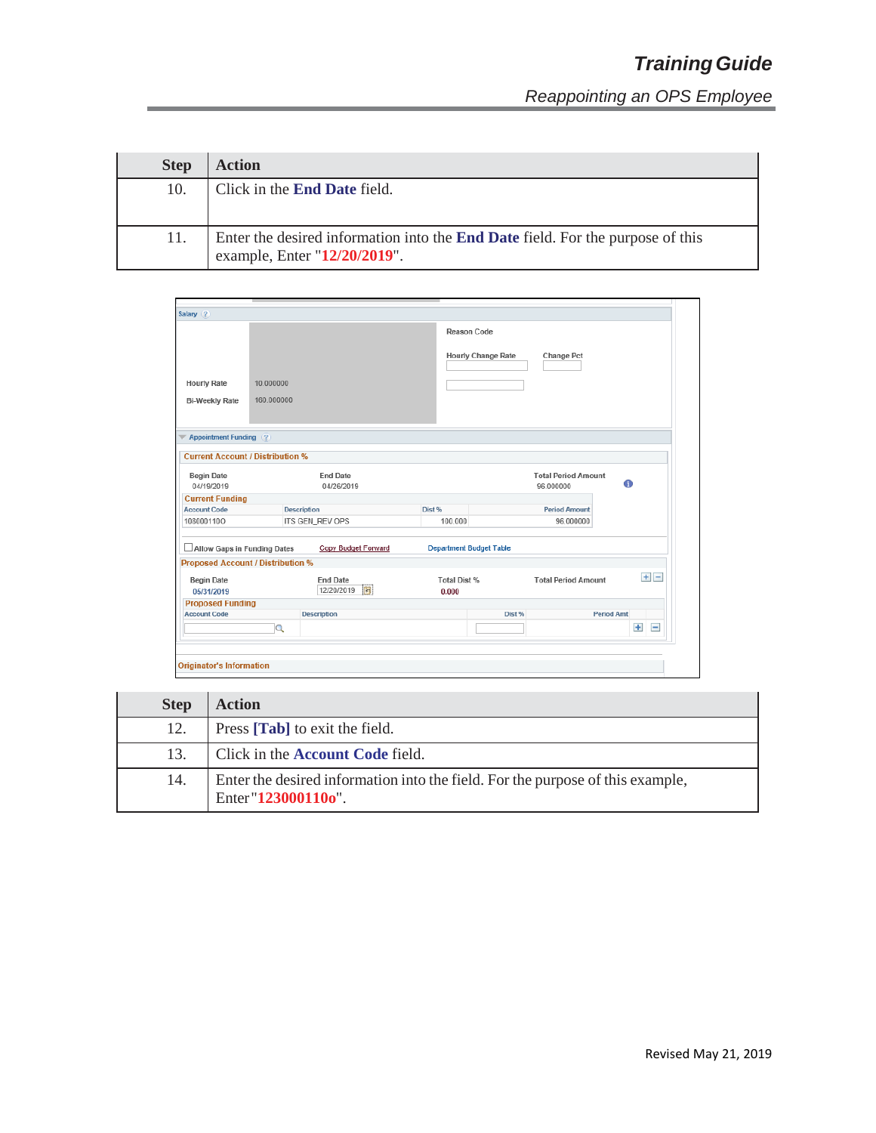| <b>Step</b> | <b>Action</b>                                                                                                         |
|-------------|-----------------------------------------------------------------------------------------------------------------------|
| 10.         | Click in the <b>End Date</b> field.                                                                                   |
| 11.         | Enter the desired information into the <b>End Date</b> field. For the purpose of this<br>example, Enter "12/20/2019". |

| Salary (?)                                                      |                    |                                    |                                |                                          |                                         |                   |
|-----------------------------------------------------------------|--------------------|------------------------------------|--------------------------------|------------------------------------------|-----------------------------------------|-------------------|
|                                                                 |                    |                                    |                                | Reason Code<br><b>Hourly Change Rate</b> | Change Pct                              |                   |
|                                                                 |                    |                                    |                                |                                          |                                         |                   |
| <b>Hourly Rate</b>                                              | 10.000000          |                                    |                                |                                          |                                         |                   |
| <b>Bi-Weekly Rate</b>                                           | 160.000000         |                                    |                                |                                          |                                         |                   |
| <b>Appointment Funding</b> (?)<br>$\overline{\phantom{a}}$      |                    |                                    |                                |                                          |                                         |                   |
| <b>Current Account / Distribution %</b>                         |                    |                                    |                                |                                          |                                         |                   |
| <b>Begin Date</b><br>04/19/2019                                 |                    | <b>End Date</b><br>04/26/2019      |                                |                                          | <b>Total Period Amount</b><br>96.000000 | A                 |
| <b>Current Funding</b>                                          |                    |                                    |                                |                                          |                                         |                   |
| <b>Account Code</b>                                             | <b>Description</b> |                                    | Dist %                         |                                          | <b>Period Amount</b>                    |                   |
| 108000110O                                                      |                    | ITS GEN_REV OPS                    | 100,000                        |                                          | 96.000000                               |                   |
|                                                                 |                    |                                    |                                |                                          |                                         |                   |
| Allow Gaps in Funding Dates                                     |                    | Copy Budget Forward                | <b>Department Budget Table</b> |                                          |                                         |                   |
|                                                                 |                    |                                    |                                |                                          |                                         |                   |
| <b>Begin Date</b><br>05/31/2019                                 |                    | <b>End Date</b><br>12/20/2019<br>E | Total Dist %<br>0.000          |                                          | <b>Total Period Amount</b>              | $+$ $-$           |
| <b>Proposed Funding</b>                                         |                    |                                    |                                |                                          |                                         |                   |
| <b>Proposed Account / Distribution %</b><br><b>Account Code</b> |                    | <b>Description</b>                 |                                | Dist %                                   |                                         | <b>Period Amt</b> |

| <b>Step</b> | <b>Action</b>                                                                                        |
|-------------|------------------------------------------------------------------------------------------------------|
| 12.         | Press [ <b>Tab</b> ] to exit the field.                                                              |
| 13.         | Click in the <b>Account Code</b> field.                                                              |
| 14.         | Enter the desired information into the field. For the purpose of this example,<br>Enter"123000110o". |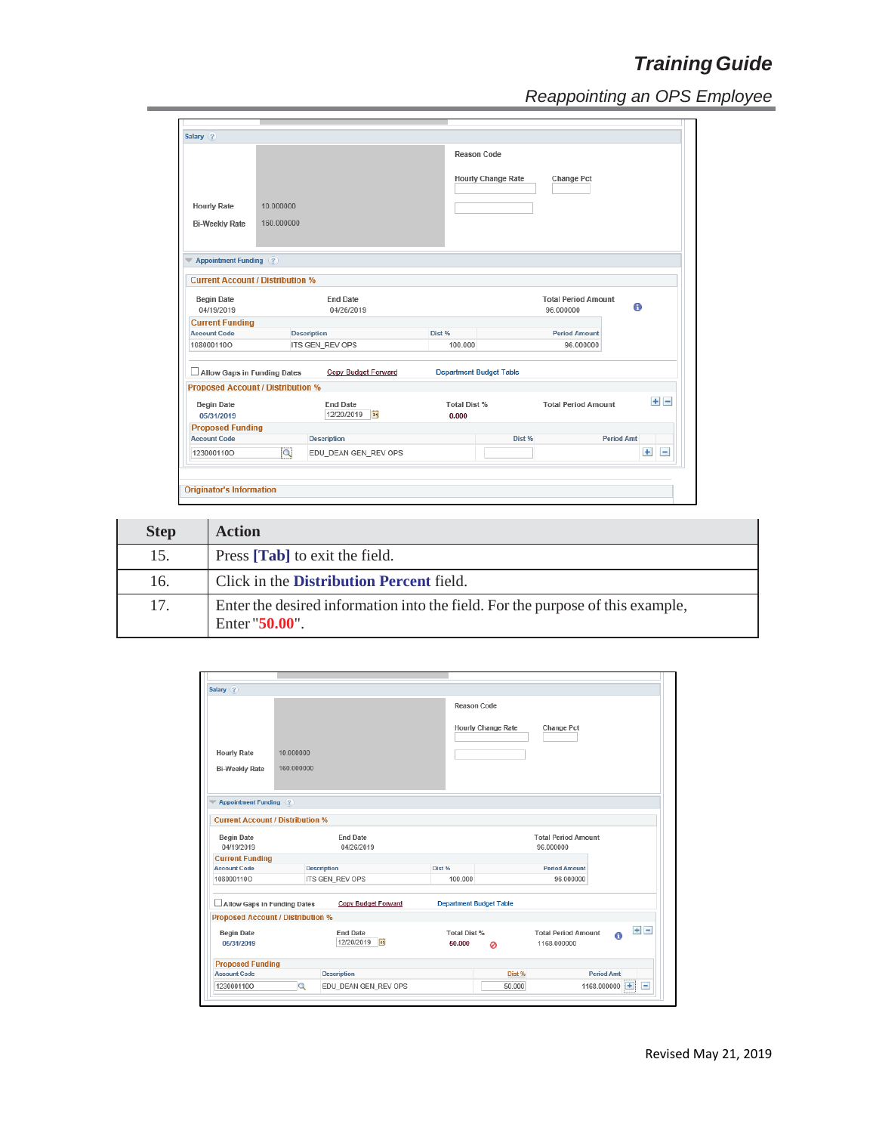|                                          |            |                                      | Reason Code                    |                           |                            |                   |         |
|------------------------------------------|------------|--------------------------------------|--------------------------------|---------------------------|----------------------------|-------------------|---------|
|                                          |            |                                      |                                | <b>Hourly Change Rate</b> | <b>Change Pct</b>          |                   |         |
| <b>Hourly Rate</b>                       | 10.000000  |                                      |                                |                           |                            |                   |         |
| <b>Bi-Weekly Rate</b>                    | 160.000000 |                                      |                                |                           |                            |                   |         |
|                                          |            |                                      |                                |                           |                            |                   |         |
| <b>Appointment Funding</b> (?)           |            |                                      |                                |                           |                            |                   |         |
| <b>Current Account / Distribution %</b>  |            |                                      |                                |                           |                            |                   |         |
| <b>Begin Date</b>                        |            | <b>End Date</b>                      |                                |                           | <b>Total Period Amount</b> |                   |         |
| 04/19/2019                               |            | 04/26/2019                           |                                |                           | 96.000000                  | 0                 |         |
| <b>Current Funding</b>                   |            |                                      |                                |                           |                            |                   |         |
| <b>Account Code</b>                      |            | <b>Description</b>                   | Dist %                         |                           | <b>Period Amount</b>       |                   |         |
| 108000110O                               |            | ITS GEN_REV OPS                      | 100.000                        |                           | 96.000000                  |                   |         |
| Allow Gaps in Funding Dates              |            | Copy Budget Forward                  | <b>Department Budget Table</b> |                           |                            |                   |         |
| <b>Proposed Account / Distribution %</b> |            |                                      |                                |                           |                            |                   |         |
|                                          |            | <b>End Date</b><br>12/20/2019<br> 31 | Total Dist %<br>0.000          |                           | <b>Total Period Amount</b> |                   | $+$ $-$ |
| <b>Begin Date</b><br>05/31/2019          |            |                                      |                                |                           |                            |                   |         |
| <b>Proposed Funding</b>                  |            |                                      |                                |                           |                            |                   |         |
| <b>Account Code</b>                      |            | <b>Description</b>                   |                                | Dist %                    |                            | <b>Period Amt</b> |         |

| <b>Step</b> | <b>Action</b>                                                                                   |
|-------------|-------------------------------------------------------------------------------------------------|
| 15.         | Press [ <b>Tab</b> ] to exit the field.                                                         |
| 16.         | Click in the <b>Distribution Percent</b> field.                                                 |
| 17.         | Enter the desired information into the field. For the purpose of this example,<br>Enter "50.00" |

| Salary (?)                                                                |            |                                               |                                |                           |                                           |                        |
|---------------------------------------------------------------------------|------------|-----------------------------------------------|--------------------------------|---------------------------|-------------------------------------------|------------------------|
|                                                                           |            |                                               | <b>Reason Code</b>             |                           |                                           |                        |
| <b>Hourly Rate</b>                                                        | 10.000000  |                                               |                                | <b>Hourly Change Rate</b> | Change Pct                                |                        |
| <b>Bi-Weekly Rate</b>                                                     | 160.000000 |                                               |                                |                           |                                           |                        |
|                                                                           |            |                                               |                                |                           |                                           |                        |
| <b>Appointment Funding</b> (?)<br><b>Current Account / Distribution %</b> |            |                                               |                                |                           |                                           |                        |
|                                                                           |            |                                               |                                |                           |                                           |                        |
| <b>Begin Date</b><br>04/19/2019                                           |            | <b>End Date</b><br>04/26/2019                 |                                |                           | <b>Total Period Amount</b><br>96.000000   |                        |
| <b>Current Funding</b>                                                    |            |                                               |                                |                           |                                           |                        |
| <b>Account Code</b>                                                       |            | <b>Description</b>                            | Dist %                         |                           | <b>Period Amount</b>                      |                        |
| 108000110O                                                                |            | ITS GEN_REV OPS                               | 100.000                        |                           | 96.000000                                 |                        |
| Allow Gaps in Funding Dates                                               |            | Copy Budget Forward                           | <b>Department Budget Table</b> |                           |                                           |                        |
| <b>Proposed Account / Distribution %</b>                                  |            |                                               |                                |                           |                                           |                        |
| <b>Begin Date</b><br>05/31/2019                                           |            | <b>End Date</b><br>12/20/2019<br>$\mathbf{E}$ | <b>Total Dist %</b><br>50,000  | ø                         | <b>Total Period Amount</b><br>1168.000000 | $+$ $-$<br>A           |
| <b>Proposed Funding</b>                                                   |            |                                               |                                |                           |                                           |                        |
| <b>Account Code</b>                                                       |            | <b>Description</b>                            |                                | Dist %                    |                                           | <b>Period Amt</b>      |
| 123000110O                                                                | $\alpha$   | EDU DEAN GEN REV OPS                          |                                | 50.000                    |                                           | $=$<br>1168.000000 $+$ |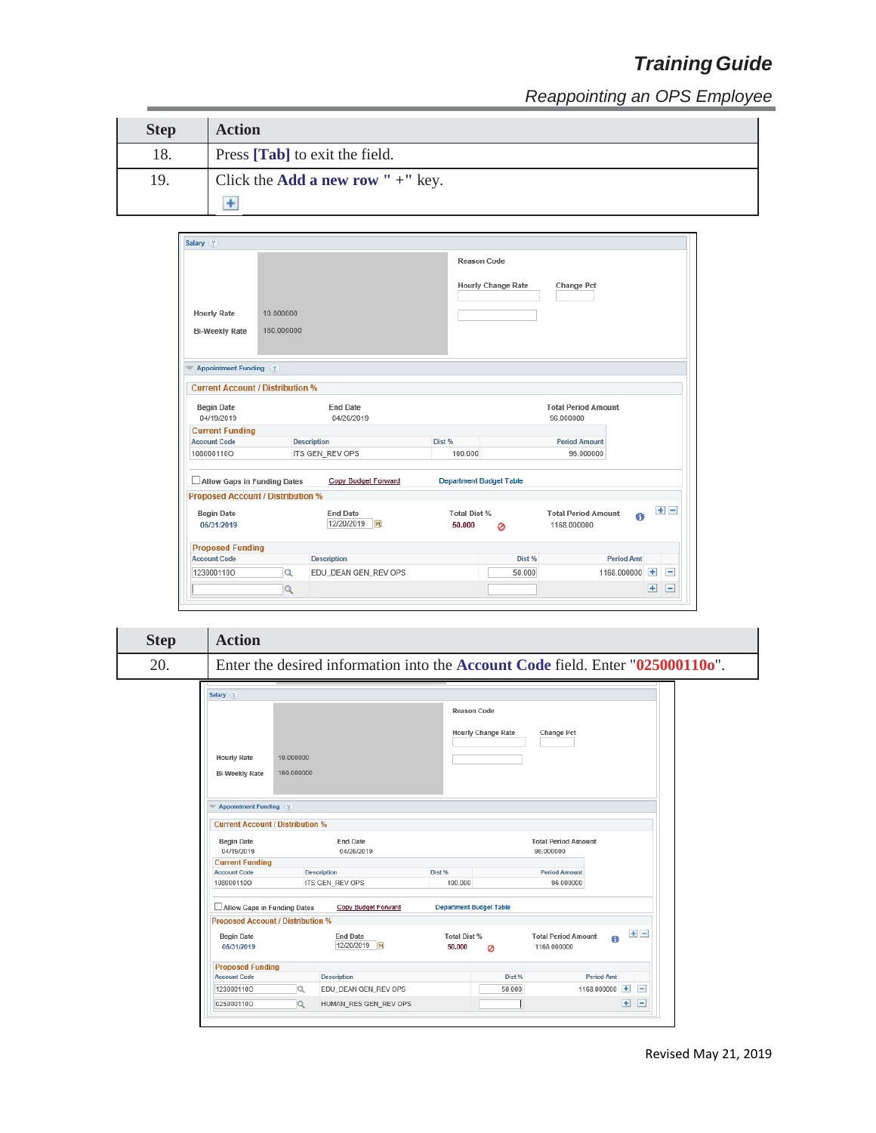*Reappointing an OPS Employee*

| <b>Step</b> | <b>Action</b>                               |
|-------------|---------------------------------------------|
| 18.         | Press [Tab] to exit the field.              |
| 19.         | Click the <b>Add a new row</b> " $+$ " key. |
|             |                                             |

| Salary (?)                               |            |                      |                     |                                |                            |                   |                    |                |
|------------------------------------------|------------|----------------------|---------------------|--------------------------------|----------------------------|-------------------|--------------------|----------------|
|                                          |            |                      |                     | Reason Code                    |                            |                   |                    |                |
|                                          |            |                      |                     | <b>Hourly Change Rate</b>      | Change Pct                 |                   |                    |                |
| <b>Hourly Rate</b>                       | 10.000000  |                      |                     |                                |                            |                   |                    |                |
|                                          |            |                      |                     |                                |                            |                   |                    |                |
| <b>Bi-Weekly Rate</b>                    | 160.000000 |                      |                     |                                |                            |                   |                    |                |
| <b>Appointment Funding</b> (?)           |            |                      |                     |                                |                            |                   |                    |                |
| <b>Current Account / Distribution %</b>  |            |                      |                     |                                |                            |                   |                    |                |
| <b>Begin Date</b>                        |            | <b>End Date</b>      |                     |                                | <b>Total Period Amount</b> |                   |                    |                |
| 04/19/2019                               |            | 04/26/2019           |                     |                                | 96.000000                  |                   |                    |                |
| <b>Current Funding</b>                   |            |                      |                     |                                |                            |                   |                    |                |
| <b>Account Code</b>                      |            | <b>Description</b>   | Dist %              |                                | <b>Period Amount</b>       |                   |                    |                |
| 108000110O                               |            | ITS GEN_REV OPS      | 100.000             |                                | 96.000000                  |                   |                    |                |
| Allow Gaps in Funding Dates              |            | Copy Budget Forward  |                     | <b>Department Budget Table</b> |                            |                   |                    |                |
| <b>Proposed Account / Distribution %</b> |            |                      |                     |                                |                            |                   |                    |                |
| <b>Begin Date</b>                        |            | <b>End Date</b>      | <b>Total Dist %</b> |                                | <b>Total Period Amount</b> | A                 |                    | $+$ $-$        |
| 05/31/2019                               |            | 12/20/2019<br> 31    | 50,000              | Ø                              | 1168.000000                |                   |                    |                |
| <b>Proposed Funding</b>                  |            |                      |                     |                                |                            |                   |                    |                |
| <b>Account Code</b>                      |            | <b>Description</b>   |                     | Dist %                         |                            | <b>Period Amt</b> |                    |                |
| 123000110O                               | Q          | EDU_DEAN GEN_REV OPS |                     | 50.000                         |                            | 1168.000000       | $+$                | $\overline{ }$ |
|                                          | Q          |                      |                     |                                |                            |                   | $\left  + \right $ | -              |

| <b>Step</b> | <b>Action</b>                                 |                                                                                       |             |                                         |  |
|-------------|-----------------------------------------------|---------------------------------------------------------------------------------------|-------------|-----------------------------------------|--|
| 20.         |                                               | Enter the desired information into the <b>Account Code</b> field. Enter "0250001100". |             |                                         |  |
|             | Salary (?)                                    |                                                                                       |             |                                         |  |
|             |                                               |                                                                                       | Reason Code |                                         |  |
|             |                                               |                                                                                       |             | <b>Hourly Change Rate</b><br>Change Pct |  |
|             | <b>Hourly Rate</b>                            | 10.000000                                                                             |             |                                         |  |
|             | <b>Bi-Weekly Rate</b>                         | 160.000000                                                                            |             |                                         |  |
|             | <b>Appointment Funding (?)</b>                |                                                                                       |             |                                         |  |
|             | <b>Current Account / Distribution %</b>       |                                                                                       |             |                                         |  |
|             | <b>Begin Date</b><br>04/19/2019               | <b>End Date</b><br>04/26/2019                                                         |             | <b>Total Period Amount</b><br>96.000000 |  |
|             | <b>Current Funding</b><br><b>Account Code</b> | <b>Description</b>                                                                    | Dist %      | <b>Period Amount</b>                    |  |
|             | 108000110O                                    | ITS GEN_REV OPS                                                                       | 100.000     | 96.000000                               |  |

Copy Budget Forward Department Budget Table

Total Dist %

 $50.000$   $Q$ 

End Date<br>12/20/2019 **31** 

EDU\_DEAN GEN\_REV OPS

HUMAN\_RES GEN\_REV OPS

 $\begin{minipage}[c]{0.4\linewidth} \textbf{Description} \end{minipage} \vspace{-0.3cm}$ 

Total Period Amount<br>1168.000000

1168.000000

Dist %

50.000

T

 $\bullet$   $\blacksquare$ 

**Period Amt** 

1168.000000 王 三

 $\begin{array}{c} \begin{array}{c} \begin{array}{c} \begin{array}{c} \end{array} \\ \end{array} \end{array} \end{array} \begin{array}{c} \begin{array}{c} \begin{array}{c} \end{array} \end{array} \end{array} \begin{array}{c} \begin{array}{c} \end{array} \end{array} \end{array}$ 

Allow Gaps in Funding Dates

Begin Date

05/31/2019

1230001100

0250001100

**Proposed Funding**<br>Account Code

**Proposed Account / Distribution %** 

 $\overline{a}$ 

 $\overline{\mathbf{Q}}$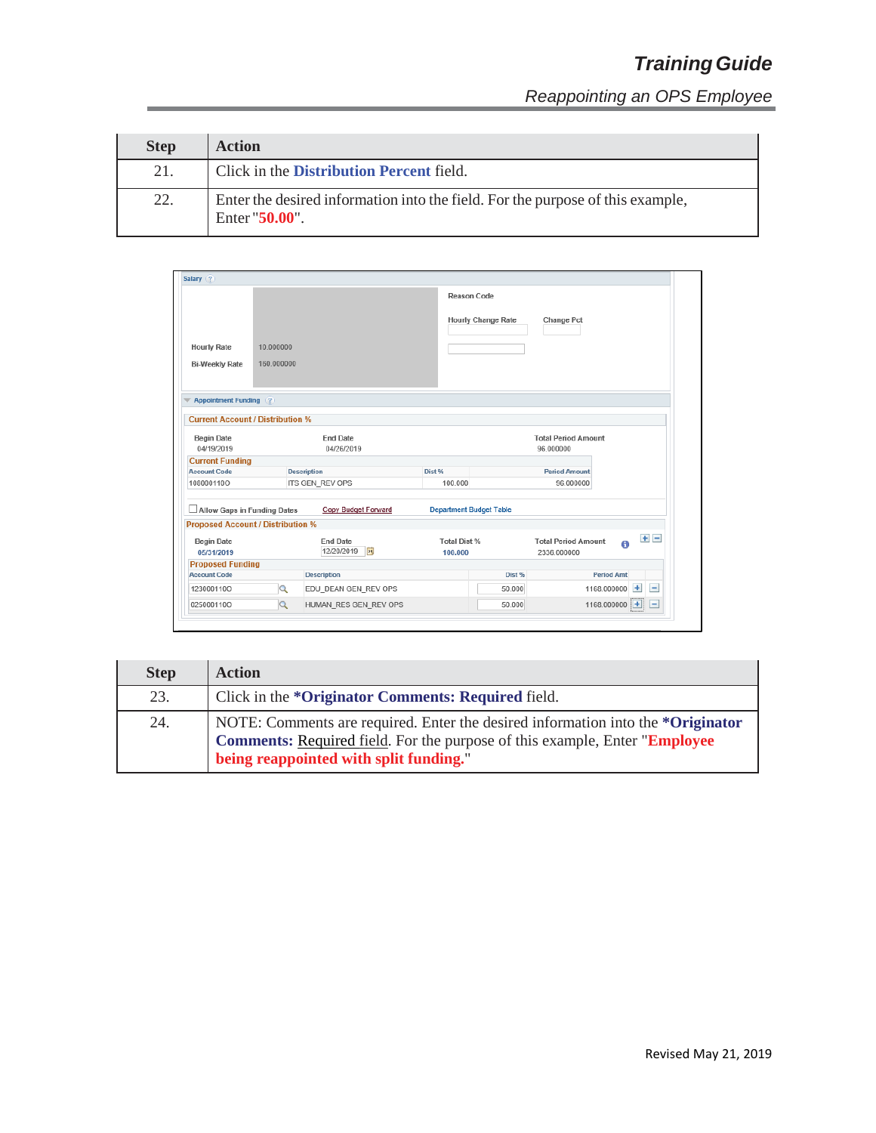| <b>Step</b> | <b>Action</b>                                                                                       |
|-------------|-----------------------------------------------------------------------------------------------------|
| 21.         | Click in the Distribution Percent field.                                                            |
| 22.         | Enter the desired information into the field. For the purpose of this example,<br>Enter $"50.00"$ . |

|                                          |            |                       |                     | <b>Reason Code</b>             |                            |                    |                          |
|------------------------------------------|------------|-----------------------|---------------------|--------------------------------|----------------------------|--------------------|--------------------------|
|                                          |            |                       |                     | <b>Hourly Change Rate</b>      | Change Pct                 |                    |                          |
| <b>Hourly Rate</b>                       | 10.000000  |                       |                     |                                |                            |                    |                          |
| <b>Bi-Weekly Rate</b>                    | 160.000000 |                       |                     |                                |                            |                    |                          |
|                                          |            |                       |                     |                                |                            |                    |                          |
|                                          |            |                       |                     |                                |                            |                    |                          |
| <b>Appointment Funding (?)</b>           |            |                       |                     |                                |                            |                    |                          |
|                                          |            |                       |                     |                                |                            |                    |                          |
| <b>Current Account / Distribution %</b>  |            |                       |                     |                                |                            |                    |                          |
| <b>Begin Date</b>                        |            | <b>End Date</b>       |                     |                                | <b>Total Period Amount</b> |                    |                          |
| 04/19/2019                               |            | 04/26/2019            |                     |                                | 96.000000                  |                    |                          |
| <b>Current Funding</b>                   |            |                       |                     |                                |                            |                    |                          |
| <b>Account Code</b>                      |            | <b>Description</b>    | Dist %              |                                | <b>Period Amount</b>       |                    |                          |
| 108000110O                               |            | ITS GEN_REV OPS       | 100.000             |                                | 96.000000                  |                    |                          |
| Allow Gaps in Funding Dates              |            | Copy Budget Forward   |                     | <b>Department Budget Table</b> |                            |                    |                          |
| <b>Proposed Account / Distribution %</b> |            |                       |                     |                                |                            |                    |                          |
| <b>Begin Date</b>                        |            | <b>End Date</b>       | <b>Total Dist %</b> |                                | <b>Total Period Amount</b> |                    | $+$ $-$                  |
| 05/31/2019                               |            | 12/20/2019<br> 31     | 100,000             |                                | 2336.000000                |                    |                          |
| <b>Proposed Funding</b>                  |            |                       |                     |                                |                            |                    |                          |
| <b>Account Code</b>                      |            | <b>Description</b>    |                     | Dist %                         |                            | <b>Period Amt</b>  |                          |
| 123000110O                               | Q          | EDU DEAN GEN REV OPS  |                     | 50,000                         |                            | $+$<br>1168.000000 | $\overline{\phantom{a}}$ |
|                                          | $\alpha$   | HUMAN_RES GEN_REV OPS |                     | 50.000                         |                            | $1168.000000$ $+$  | E                        |

| <b>Step</b> | <b>Action</b>                                                                                                                                                                                           |
|-------------|---------------------------------------------------------------------------------------------------------------------------------------------------------------------------------------------------------|
| 23.         | Click in the * <b>Originator Comments: Required</b> field.                                                                                                                                              |
| 24.         | NOTE: Comments are required. Enter the desired information into the *Originator<br>Comments: Required field. For the purpose of this example, Enter "Employee<br>being reappointed with split funding." |